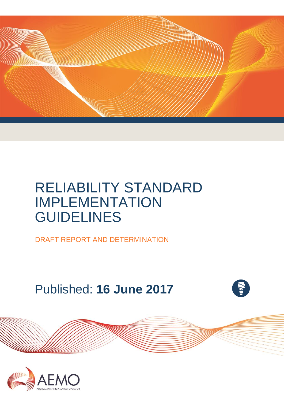

# RELIABILITY STANDARD IMPLEMENTATION GUIDELINES

DRAFT REPORT AND DETERMINATION

Published: **16 June 2017**



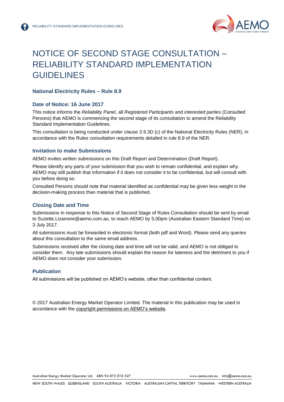

## <span id="page-1-0"></span>NOTICE OF SECOND STAGE CONSULTATION – RELIABILITY STANDARD IMPLEMENTATION GUIDELINES

#### **National Electricity Rules – Rule 8.9**

#### **Date of Notice: 16 June 2017**

This notice informs the *Reliability Panel*, all *Registered Participants* and *interested parties* (Consulted Persons) that AEMO is commencing the second stage of its consultation to amend the Reliability Standard Implementation Guidelines.

This consultation is being conducted under clause 3.9.3D (c) of the National Electricity Rules (NER), in accordance with the Rules consultation requirements detailed in rule 8.9 of the NER.

#### **Invitation to make Submissions**

AEMO invites written submissions on this Draft Report and Determination (Draft Report).

Please identify any parts of your submission that you wish to remain confidential, and explain why. AEMO may still publish that information if it does not consider it to be confidential, but will consult with you before doing so.

Consulted Persons should note that material identified as confidential may be given less weight in the decision-making process than material that is published.

#### **Closing Date and Time**

Submissions in response to this Notice of Second Stage of Rules Consultation should be sent by email to Suzette.Lizamore@aemo.com.au, to reach AEMO by 5.00pm (Australian Eastern Standard Time) on 3 July 2017.

All submissions must be forwarded in electronic format (both pdf and Word). Please send any queries about this consultation to the same email address.

Submissions received after the closing date and time will not be valid, and AEMO is not obliged to consider them. Any late submissions should explain the reason for lateness and the detriment to you if AEMO does not consider your submission.

#### **Publication**

All submissions will be published on AEMO's website, other than confidential content.

© 2017 Australian Energy Market Operator Limited. The material in this publication may be used in accordance with the [copyright permissions on AEMO's website.](http://aemo.com.au/Privacy_and_Legal_Notices/Copyright_Permissions_Notice)

Australian Energy Market Operator Ltd ABN 94 072 010 327 [www.aemo.com.au](http://www.aemo.com.au/) [info@aemo.com.au](mailto:info@aemo.com.au)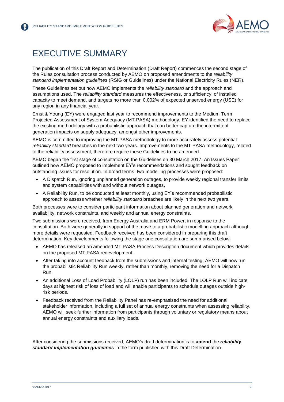

## <span id="page-2-0"></span>EXECUTIVE SUMMARY

The publication of this Draft Report and Determination (Draft Report) commences the second stage of the Rules consultation process conducted by AEMO on proposed amendments to the *reliability standard implementation guidelines* (RSIG or Guidelines) under the National Electricity Rules (NER).

These Guidelines set out how AEMO implements the *reliability standard* and the approach and assumptions used. The *reliability standard* measures the effectiveness, or sufficiency, of installed capacity to meet demand, and targets no more than 0.002% of expected unserved energy (USE) for any region in any financial year.

Ernst & Young (EY) were engaged last year to recommend improvements to the Medium Term Projected Assessment of System Adequacy (MT PASA) methodology. EY identified the need to replace the existing methodology with a probabilistic approach that can better capture the intermittent generation impacts on supply adequacy, amongst other improvements.

AEMO is committed to improving the MT PASA methodology to more accurately assess potential *reliability standard* breaches in the next two years. Improvements to the MT PASA methodology, related to the reliability assessment, therefore require these Guidelines to be amended.

AEMO began the first stage of consultation on the Guidelines on 30 March 2017. An Issues Paper outlined how AEMO proposed to implement EY's recommendations and sought feedback on outstanding issues for resolution. In broad terms, two modelling processes were proposed:

- A Dispatch Run, ignoring unplanned generation outages, to provide weekly regional transfer limits and system capabilities with and without network outages.
- A Reliability Run, to be conducted at least monthly, using EY's recommended probabilistic approach to assess whether *reliability standard* breaches are likely in the next two years.

Both processes were to consider participant information about planned generation and network availability, network constraints, and weekly and annual energy constraints.

Two submissions were received, from Energy Australia and ERM Power, in response to the consultation. Both were generally in support of the move to a probabilistic modelling approach although more details were requested. Feedback received has been considered in preparing this draft determination. Key developments following the stage one consultation are summarised below:

- AEMO has released an amended MT PASA Process Description document which provides details on the proposed MT PASA redevelopment.
- After taking into account feedback from the submissions and internal testing, AEMO will now run the probabilistic Reliability Run weekly, rather than monthly, removing the need for a Dispatch Run.
- An additional Loss of Load Probability (LOLP) run has been included. The LOLP Run will indicate days at highest risk of loss of load and will enable participants to schedule outages outside highrisk periods.
- Feedback received from the Reliability Panel has re-emphasised the need for additional stakeholder information, including a full set of annual energy constraints when assessing reliability. AEMO will seek further information from participants through voluntary or regulatory means about annual energy constraints and auxiliary loads.

After considering the submissions received, AEMO's draft determination is to **amend** the *reliability standard implementation guidelines* in the form published with this Draft Determination.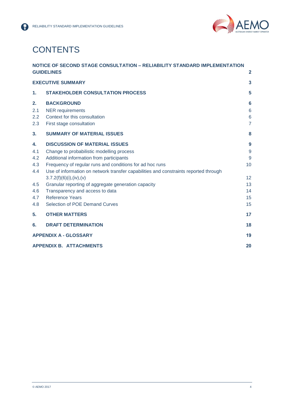

## **CONTENTS**

|                         | NOTICE OF SECOND STAGE CONSULTATION - RELIABILITY STANDARD IMPLEMENTATION                                 |                                             |  |
|-------------------------|-----------------------------------------------------------------------------------------------------------|---------------------------------------------|--|
|                         | <b>GUIDELINES</b>                                                                                         | $\overline{2}$                              |  |
|                         | <b>EXECUTIVE SUMMARY</b>                                                                                  | $\overline{\mathbf{3}}$                     |  |
| 1.                      | <b>STAKEHOLDER CONSULTATION PROCESS</b>                                                                   | 5                                           |  |
| 2.<br>2.1<br>2.2<br>2.3 | <b>BACKGROUND</b><br><b>NER</b> requirements<br>Context for this consultation<br>First stage consultation | 6<br>$6\phantom{1}6$<br>6<br>$\overline{7}$ |  |
| 3.                      | <b>SUMMARY OF MATERIAL ISSUES</b>                                                                         | 8                                           |  |
| 4.                      | <b>DISCUSSION OF MATERIAL ISSUES</b>                                                                      | 9                                           |  |
| 4.1                     | Change to probabilistic modelling process                                                                 | 9                                           |  |
| 4.2                     | Additional information from participants                                                                  | 9                                           |  |
| 4.3                     | Frequency of regular runs and conditions for ad hoc runs                                                  | 10                                          |  |
| 4.4                     | Use of information on network transfer capabilities and constraints reported through                      |                                             |  |
|                         | 3.7.2(f)(6)(i), (iv), (v)                                                                                 | 12                                          |  |
| 4.5                     | Granular reporting of aggregate generation capacity                                                       | 13                                          |  |
| 4.6                     | Transparency and access to data                                                                           | 14                                          |  |
| 4.7                     | <b>Reference Years</b>                                                                                    | 15                                          |  |
| 4.8                     | Selection of POE Demand Curves                                                                            | 15                                          |  |
| 5.                      | <b>OTHER MATTERS</b>                                                                                      | 17                                          |  |
| 6.                      | <b>DRAFT DETERMINATION</b>                                                                                | 18                                          |  |
|                         | <b>APPENDIX A - GLOSSARY</b>                                                                              |                                             |  |
|                         | <b>APPENDIX B. ATTACHMENTS</b>                                                                            | 20                                          |  |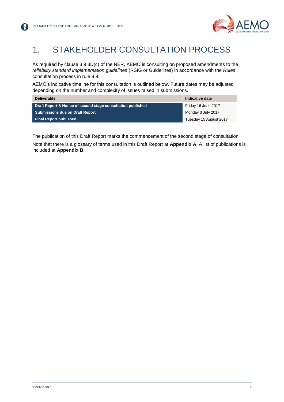

## <span id="page-4-0"></span>1. STAKEHOLDER CONSULTATION PROCESS

As required by clause 3.9.3D(c) of the NER, AEMO is consulting on proposed amendments to the *reliability standard implementation guidelines* (RSIG or Guidelines) in accordance with the *Rules* consultation process in rule 8.9.

AEMO's indicative timeline for this consultation is outlined below. Future dates may be adjusted depending on the number and complexity of issues raised in submissions.

| <b>Deliverable</b>                                           | Indicative date        |
|--------------------------------------------------------------|------------------------|
| Draft Report & Notice of second stage consultation published | Friday 16 June 2017    |
| <b>Submissions due on Draft Report</b>                       | Monday 3 July 2017     |
| <b>Final Report published</b>                                | Tuesday 15 August 2017 |

The publication of this Draft Report marks the commencement of the second stage of consultation. Note that there is a glossary of terms used in this Draft Report at **Appendix A**. A list of publications is included at **Appendix B**.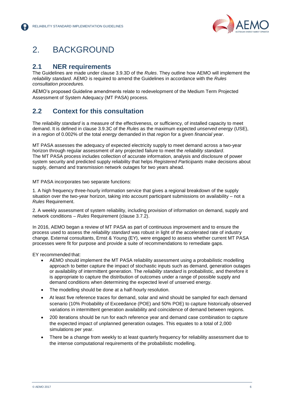

## <span id="page-5-0"></span>2. BACKGROUND

### <span id="page-5-1"></span>**2.1 NER requirements**

The Guidelines are made under clause 3.9.3D of the *Rules*. They outline how AEMO will implement the *reliability standard*. AEMO is required to amend the Guidelines in accordance with the *Rules consultation procedures.* 

AEMO's proposed Guideline amendments relate to redevelopment of the Medium Term Projected Assessment of System Adequacy (MT PASA) process.

### <span id="page-5-2"></span>**2.2 Context for this consultation**

The *reliability standard* is a measure of the effectiveness, or sufficiency, of installed capacity to meet demand. It is defined in clause 3.9.3C of the *Rules* as the maximum expected *unserved energy* (USE), in a *region* of 0.002% of the total *energy* demanded in that *region* for a given *financial year*.

MT PASA assesses the adequacy of expected electricity supply to meet demand across a two-year horizon through regular assessment of any projected failure to meet the *reliability standard*. The MT PASA process includes collection of accurate information, analysis and disclosure of power system security and predicted supply reliability that helps *Registered Participants* make decisions about supply, demand and transmission network outages for two years ahead.

MT PASA incorporates two separate functions:

1. A high frequency three-hourly information service that gives a regional breakdown of the supply situation over the two-year horizon, taking into account participant submissions on availability – not a *Rules* Requirement.

2. A weekly assessment of system reliability, including provision of information on demand, supply and network conditions – *Rules* Requirement (clause 3.7.2).

In 2016, AEMO began a review of MT PASA as part of continuous improvement and to ensure the process used to assess the *reliability standard* was robust in light of the accelerated rate of industry change. External consultants, Ernst & Young (EY), were engaged to assess whether current MT PASA processes were fit for purpose and provide a suite of recommendations to remediate gaps.

EY recommended that:

- AEMO should implement the MT PASA reliability assessment using a probabilistic modelling approach to better capture the impact of stochastic inputs such as demand, generation outages or availability of intermittent generation. The *reliability standard* is probabilistic, and therefore it is appropriate to capture the distribution of outcomes under a range of possible supply and demand conditions when determining the expected level of unserved energy.
- The modelling should be done at a half-hourly resolution.
- At least five reference traces for demand, solar and wind should be sampled for each demand scenario (10% Probability of Exceedance (POE) and 50% POE) to capture historically observed variations in intermittent generation availability and coincidence of demand between regions.
- 200 iterations should be run for each reference year and demand case combination to capture the expected impact of unplanned generation outages. This equates to a total of 2,000 simulations per year.
- There be a change from weekly to at least quarterly frequency for reliability assessment due to the intense computational requirements of the probabilistic modelling.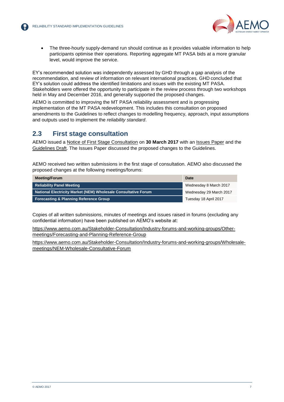

 The three-hourly supply-demand run should continue as it provides valuable information to help participants optimise their operations. Reporting aggregate MT PASA bids at a more granular level, would improve the service.

EY's recommended solution was independently assessed by GHD through a gap analysis of the recommendation, and review of information on relevant international practices. GHD concluded that EY's solution could address the identified limitations and issues with the existing MT PASA. Stakeholders were offered the opportunity to participate in the review process through two workshops held in May and December 2016, and generally supported the proposed changes.

AEMO is committed to improving the MT PASA reliability assessment and is progressing implementation of the MT PASA redevelopment. This includes this consultation on proposed amendments to the Guidelines to reflect changes to modelling frequency, approach, input assumptions and outputs used to implement the *reliability standard*.

### <span id="page-6-0"></span>**2.3 First stage consultation**

AEMO issued a [Notice of First Stage Consultation](http://www.aemo.com.au/-/media/Files/Stakeholder_Consultation/Consultations/Electricity_Consultations/2017/MTPASA/Notice-of-First-Stage-Consultation-_MT-PASA-phase-2.pdf) on **30 March 2017** with an [Issues Paper](http://www.aemo.com.au/-/media/Files/Stakeholder_Consultation/Consultations/Electricity_Consultations/2017/MTPASA/RSIG-Changes-Issues-Paper---MT-PASA-Phase-2.pdf) and the [Guidelines Draft.](http://www.aemo.com.au/-/media/Files/Stakeholder_Consultation/Consultations/Electricity_Consultations/2017/MTPASA/Reliability-Standard-Implementation-Guidelines---MT-PASA-Phase-2-Draft.pdf) The Issues Paper discussed the proposed changes to the Guidelines.

AEMO received two written submissions in the first stage of consultation. AEMO also discussed the proposed changes at the following meetings/forums:

| <b>Meeting/Forum</b>                                           | Date                    |
|----------------------------------------------------------------|-------------------------|
| <b>Reliability Panel Meeting</b>                               | Wednesday 8 March 2017  |
| National Electricity Market (NEM) Wholesale Consultative Forum | Wednesday 29 March 2017 |
| <b>Forecasting &amp; Planning Reference Group</b>              | Tuesday 18 April 2017   |

Copies of all written submissions, minutes of meetings and issues raised in forums (excluding any confidential information) have been published on AEMO's website at:

[https://www.aemo.com.au/Stakeholder-Consultation/Industry-forums-and-working-groups/Other](https://www.aemo.com.au/Stakeholder-Consultation/Industry-forums-and-working-groups/Other-meetings/Forecasting-and-Planning-Reference-Group)[meetings/Forecasting-and-Planning-Reference-Group](https://www.aemo.com.au/Stakeholder-Consultation/Industry-forums-and-working-groups/Other-meetings/Forecasting-and-Planning-Reference-Group)

[https://www.aemo.com.au/Stakeholder-Consultation/Industry-forums-and-working-groups/Wholesale](https://www.aemo.com.au/Stakeholder-Consultation/Industry-forums-and-working-groups/Wholesale-meetings/NEM-Wholesale-Consultative-Forum)[meetings/NEM-Wholesale-Consultative-Forum](https://www.aemo.com.au/Stakeholder-Consultation/Industry-forums-and-working-groups/Wholesale-meetings/NEM-Wholesale-Consultative-Forum)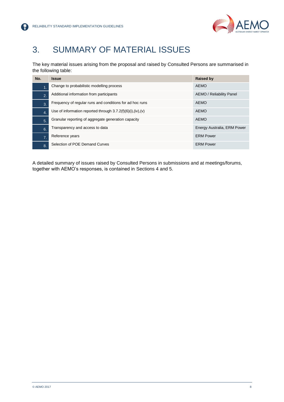【帚】



## <span id="page-7-0"></span>3. SUMMARY OF MATERIAL ISSUES

The key material issues arising from the proposal and raised by Consulted Persons are summarised in the following table:

| No.              | <b>Issue</b>                                                  | <b>Raised by</b>            |
|------------------|---------------------------------------------------------------|-----------------------------|
| 1                | Change to probabilistic modelling process                     | <b>AEMO</b>                 |
| $\overline{2}$ . | Additional information from participants                      | AEMO / Reliability Panel    |
| 3.               | Frequency of regular runs and conditions for ad hoc runs      | <b>AEMO</b>                 |
| $\overline{4}$ . | Use of information reported through $3.7.2(f)(6)(i),(iv),(v)$ | <b>AEMO</b>                 |
| 5.               | Granular reporting of aggregate generation capacity           | <b>AEMO</b>                 |
| 6.               | Transparency and access to data                               | Energy Australia, ERM Power |
| $\overline{7}$ . | Reference years                                               | <b>ERM Power</b>            |
| 8.               | Selection of POE Demand Curves                                | <b>ERM Power</b>            |

A detailed summary of issues raised by Consulted Persons in submissions and at meetings/forums, together with AEMO's responses, is contained in Sections 4 and 5.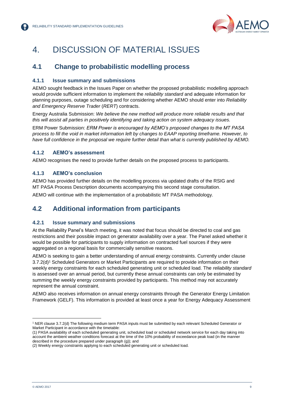

## <span id="page-8-0"></span>4. DISCUSSION OF MATERIAL ISSUES

### <span id="page-8-1"></span>**4.1 Change to probabilistic modelling process**

#### **4.1.1 Issue summary and submissions**

AEMO sought feedback in the Issues Paper on whether the proposed probabilistic modelling approach would provide sufficient information to implement the *reliability standard* and adequate information for planning purposes, outage scheduling and for considering whether AEMO should enter into *Reliability and Emergency Reserve Trader* (*RERT*) contracts.

Energy Australia Submission: *We believe the new method will produce more reliable results and that this will assist all parties in positively identifying and taking action on system adequacy issues.*

ERM Power Submission: *ERM Power is encouraged by AEMO's proposed changes to the MT PASA process to fill the void in market information left by changes to EAAP reporting timeframe. However, to have full confidence in the proposal we require further detail than what is currently published by AEMO.*

#### **4.1.2 AEMO's assessment**

AEMO recognises the need to provide further details on the proposed process to participants.

#### **4.1.3 AEMO's conclusion**

AEMO has provided further details on the modelling process via updated drafts of the RSIG and MT PASA Process Description documents accompanying this second stage consultation.

AEMO will continue with the implementation of a probabilistic MT PASA methodology.

### <span id="page-8-2"></span>**4.2 Additional information from participants**

#### **4.2.1 Issue summary and submissions**

At the Reliability Panel's March meeting, it was noted that focus should be directed to coal and gas restrictions and their possible impact on generator availability over a year. The Panel asked whether it would be possible for participants to supply information on contracted fuel sources if they were aggregated on a regional basis for commercially sensitive reasons.

AEMO is seeking to gain a better understanding of annual energy constraints. Currently under clause 3.7.2(d)<sup>1</sup> Scheduled Generators or Market Participants are required to provide information on their weekly energy constraints for each scheduled generating unit or scheduled load. The *reliability standard* is assessed over an annual period, but currently these annual constraints can only be estimated by summing the weekly energy constraints provided by participants. This method may not accurately represent the annual constraint.

AEMO also receives information on annual energy constraints through the Generator Energy Limitation Framework (GELF). This information is provided at least once a year for Energy Adequacy Assessment

<sup>1</sup> NER clause 3.7.2(d) The following medium term PASA inputs must be submitted by each relevant Scheduled Generator or Market Participant in accordance with the timetable:

<sup>(1)</sup> PASA availability of each scheduled generating unit, scheduled load or scheduled network service for each day taking into account the ambient weather conditions forecast at the time of the 10% probability of exceedance peak load (in the manner described in the procedure prepared under paragraph (g)); and

<sup>(2)</sup> Weekly energy constraints applying to each scheduled generating unit or scheduled load.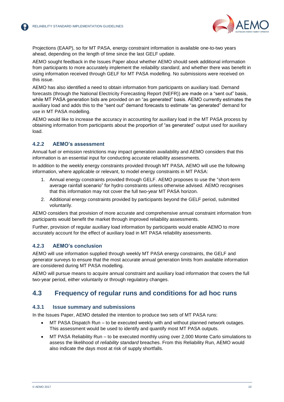

Projections (EAAP), so for MT PASA, energy constraint information is available one-to-two years ahead, depending on the length of time since the last GELF update.

AEMO sought feedback in the Issues Paper about whether AEMO should seek additional information from participants to more accurately implement the *reliability standard*, and whether there was benefit in using information received through GELF for MT PASA modelling. No submissions were received on this issue.

AEMO has also identified a need to obtain information from participants on auxiliary load. Demand forecasts (through the National Electricity Forecasting Report (NEFR)) are made on a "sent out" basis, while MT PASA generation bids are provided on an "as generated" basis. AEMO currently estimates the auxiliary load and adds this to the "sent out" demand forecasts to estimate "as generated" demand for use in MT PASA modelling.

AEMO would like to increase the accuracy in accounting for auxiliary load in the MT PASA process by obtaining information from participants about the proportion of "as generated" output used for auxiliary load.

#### **4.2.2 AEMO's assessment**

Annual fuel or emission restrictions may impact generation availability and AEMO considers that this information is an essential input for conducting accurate reliability assessments.

In addition to the weekly energy constraints provided through MT PASA, AEMO will use the following information, where applicable or relevant, to model energy constraints in MT PASA:

- 1. Annual energy constraints provided through GELF. AEMO proposes to use the "short-term average rainfall scenario" for hydro constraints unless otherwise advised. AEMO recognises that this information may not cover the full two-year MT PASA horizon.
- 2. Additional energy constraints provided by participants beyond the GELF period, submitted voluntarily.

AEMO considers that provision of more accurate and comprehensive annual constraint information from participants would benefit the market through improved reliability assessments.

Further, provision of regular auxiliary load information by participants would enable AEMO to more accurately account for the effect of auxiliary load in MT PASA reliability assessments.

#### **4.2.3 AEMO's conclusion**

AEMO will use information supplied through weekly MT PASA energy constraints, the GELF and generator surveys to ensure that the most accurate annual generation limits from available information are considered during MT PASA modelling.

AEMO will pursue means to acquire annual constraint and auxiliary load information that covers the full two-year period, either voluntarily or through regulatory changes.

### <span id="page-9-0"></span>**4.3 Frequency of regular runs and conditions for ad hoc runs**

#### **4.3.1 Issue summary and submissions**

In the Issues Paper, AEMO detailed the intention to produce two sets of MT PASA runs:

- MT PASA Dispatch Run to be executed weekly with and without planned network outages. This assessment would be used to identify and quantify most MT PASA outputs.
- MT PASA Reliability Run to be executed monthly using over 2,000 Monte Carlo simulations to assess the likelihood of *reliability standard* breaches. From this Reliability Run, AEMO would also indicate the days most at risk of supply shortfalls.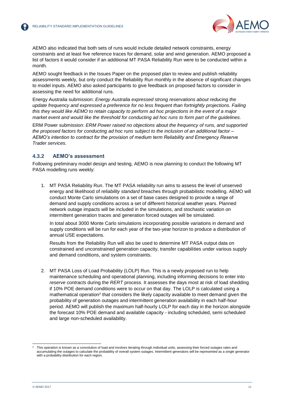

AEMO also indicated that both sets of runs would include detailed network constraints, energy constraints and at least five reference traces for demand, solar and wind generation. AEMO proposed a list of factors it would consider if an additional MT PASA Reliability Run were to be conducted within a month.

AEMO sought feedback in the Issues Paper on the proposed plan to review and publish reliability assessments weekly, but only conduct the Reliability Run monthly in the absence of significant changes to model inputs. AEMO also asked participants to give feedback on proposed factors to consider in assessing the need for additional runs.

Energy Australia submission: *Energy Australia expressed strong reservations about reducing the update frequency and expressed a preference for no less frequent than fortnightly projections. Failing this they would like AEMO to retain capacity to perform ad hoc projections in the event of a major market event and would like the threshold for conducting ad hoc runs to form part of the guidelines.*

ERM Power submission: *ERM Power raised no objections about the frequency of runs, and supported the proposed factors for conducting ad hoc runs subject to the inclusion of an additional factor – AEMO's intention to contract for the provision of medium term Reliability and Emergency Reserve Trader services.*

#### **4.3.2 AEMO's assessment**

Following preliminary model design and testing, AEMO is now planning to conduct the following MT PASA modelling runs weekly:

1. MT PASA Reliability Run. The MT PASA reliability run aims to assess the level of unserved energy and likelihood of *reliability standard* breaches through probabilistic modelling. AEMO will conduct Monte Carlo simulations on a set of base cases designed to provide a range of demand and supply conditions across a set of different historical weather years. Planned network outage impacts will be included in the simulations, and stochastic variation on intermittent generation traces and generation forced outages will be simulated.

In total about 3000 Monte Carlo simulations incorporating possible variations in demand and supply conditions will be run for each year of the two-year horizon to produce a distribution of annual USE expectations.

Results from the Reliability Run will also be used to determine MT PASA output data on constrained and unconstrained generation capacity, transfer capabilities under various supply and demand conditions, and system constraints.

2. MT PASA Loss of Load Probability (LOLP) Run. This is a newly proposed run to help maintenance scheduling and operational planning, including informing decisions to enter into *reserve contracts* during the *RERT* process. It assesses the days most at risk of load shedding if 10% POE demand conditions were to occur on that day. The LOLP is calculated using a mathematical operation<sup>2</sup> that considers the likely capacity available to meet demand given the probability of generation outages and intermittent generation availability in each half-hour period. AEMO will publish the maximum half-hourly LOLP for each day in the horizon alongside the forecast 10% POE demand and available capacity - including scheduled, semi scheduled and large non-scheduled availability.

<sup>2</sup> This operation is known as a convolution of load and involves iterating through individual units, assessing their forced outages rates and accumulating the outages to calculate the probability of overall system outages. Intermittent generators will be represented as a single generator with a probability distribution for each region.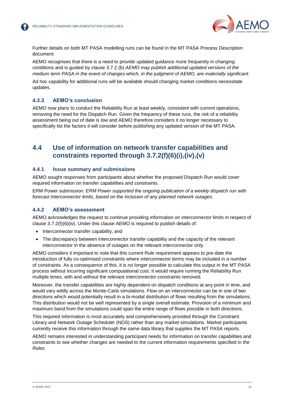

Further details on both MT PASA modelling runs can be found in the MT PASA Process Description document.

AEMO recognises that there is a need to provide updated guidance more frequently in changing conditions and is guided by clause 3.7.2 (b) *AEMO may publish additional updated versions of the medium term PASA in the event of changes which, in the judgment of AEMO, are materially significant.*

Ad hoc capability for additional runs will be available should changing market conditions necessitate updates.

#### **4.3.3 AEMO's conclusion**

AEMO now plans to conduct the Reliability Run at least weekly, consistent with current operations, removing the need for the Dispatch Run. Given the frequency of these runs, the risk of a reliability assessment being out of date is low and AEMO therefore considers it no longer necessary to specifically list the factors it will consider before publishing any updated version of the MT PASA.

### <span id="page-11-0"></span>**4.4 Use of information on network transfer capabilities and constraints reported through 3.7.2(f)(6)(i),(iv),(v)**

#### **4.4.1 Issue summary and submissions**

AEMO sought responses from participants about whether the proposed Dispatch Run would cover required information on transfer capabilities and constraints.

ERM Power submission: *ERM Power supported the ongoing publication of a weekly dispatch run with forecast interconnector limits, based on the inclusion of any planned network outages.*

#### **4.4.2 AEMO's assessment**

AEMO acknowledges the request to continue providing information on interconnector limits in respect of clause 3.7.2(f)(6)(iv). Under this clause AEMO is required to publish details of:

- Interconnector transfer capability, and
- The discrepancy between interconnector transfer capability and the capacity of the relevant interconnector in the absence of outages on the relevant interconnector only.

AEMO considers it important to note that this current Rule requirement appears to pre-date the introduction of fully co-optimised constraints where interconnector terms may be included in a number of constraints. As a consequence of this, it is no longer possible to calculate this output in the MT PASA process without incurring significant computational cost. It would require running the Reliability Run multiple times, with and without the relevant interconnector constraints removed.

Moreover, the transfer capabilities are highly dependent on dispatch conditions at any point in time, and would vary wildly across the Monte-Carlo simulations. Flow on an interconnector can be in one of two directions which would potentially result in a bi-modal distribution of flows resulting from the simulations. This distribution would not be well represented by a single overall estimate. Provision of a minimum and maximum band from the simulations could span the entire range of flows possible in both directions.

This required information is most accurately and comprehensively provided through the Constraint Library and Network Outage Scheduler (NOS) rather than any market simulations. Market participants currently receive this information through the same data library that supplies the MT PASA reports.

AEMO remains interested in understanding participant needs for information on transfer capabilities and constraints to see whether changes are needed to the current information requirements specified in *the Rules*.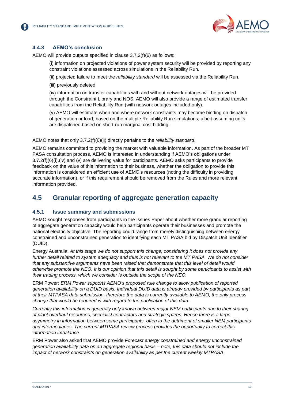

#### **4.4.3 AEMO's conclusion**

AEMO will provide outputs specified in clause 3.7.2(f)(6) as follows:

(i) information on projected violations of power system security will be provided by reporting any constraint violations assessed across simulations in the Reliability Run.

(ii) projected failure to meet the *reliability standard* will be assessed via the Reliability Run.

(iii) previously deleted

(iv) information on transfer capabilities with and without network outages will be provided through the Constraint Library and NOS. AEMO will also provide a range of estimated transfer capabilities from the Reliability Run (with network outages included only).

(v) AEMO will estimate when and where network constraints may become binding on dispatch of generation or load, based on the multiple Reliability Run simulations, albeit assuming units are dispatched based on short-run marginal cost bidding.

#### AEMO notes that only 3.7.2(f)(6)(ii) directly pertains to the *reliability standard*.

AEMO remains committed to providing the market with valuable information. As part of the broader MT PASA consultation process, AEMO is interested in understanding if AEMO's obligations under 3.7.2(f)(6)(i),(iv) and (v) are delivering value for participants. AEMO asks participants to provide feedback on the value of this information to their business, whether the obligation to provide this information is considered an efficient use of AEMO's resources (noting the difficulty in providing accurate information), or if this requirement should be removed from the Rules and more relevant information provided.

### <span id="page-12-0"></span>**4.5 Granular reporting of aggregate generation capacity**

#### **4.5.1 Issue summary and submissions**

AEMO sought responses from participants in the Issues Paper about whether more granular reporting of aggregate generation capacity would help participants operate their businesses and promote the national electricity objective. The reporting could range from merely distinguishing between energy constrained and unconstrained generation to identifying each MT PASA bid by Dispatch Unit Identifier (DUID).

Energy Australia: *At this stage we do not support this change, considering it does not provide any further detail related to system adequacy and thus is not relevant to the MT PASA. We do not consider that any substantive arguments have been raised that demonstrate that this level of detail would otherwise promote the NEO. It is our opinion that this detail is sought by some participants to assist with their trading process, which we consider is outside the scope of the NEO.*

ERM Power: *ERM Power supports AEMO's proposed rule change to allow publication of reported generation availability on a DUID basis. Individual DUID data is already provided by participants as part of their MTPASA data submission, therefore the data is currently available to AEMO, the only process change that would be required is with regard to the publication of this data.*

*Currently this information is generally only known between major NEM participants due to their sharing of plant overhaul resources, specialist contractors and strategic spares. Hence there is a large asymmetry in information between some participants, often to the detriment of smaller NEM participants and intermediaries. The current MTPASA review process provides the opportunity to correct this information imbalance.*

ERM Power also asked that AEMO provide *Forecast energy constrained and energy unconstrained generation availability data on an aggregate regional basis – note, this data should not include the impact of network constraints on generation availability as per the current weekly MTPASA.*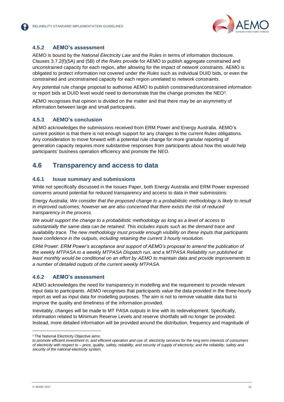

#### **4.5.2 AEMO's assessment**

AEMO is bound by the *National Electricity Law* and the Rules in terms of information disclosure. Clauses 3.7.2(f)(5A) and (5B) of *the Rules* provide for AEMO to publish aggregate constrained and unconstrained capacity for each region, after allowing for the impact of *network constraints*. AEMO is obligated to protect information not covered under *the Rules* such as individual DUID bids, or even the constrained and unconstrained capacity for each region unrelated to *network constraints*.

Any potential rule change proposal to authorise AEMO to publish constrained/unconstrained information or report bids at DUID level would need to demonstrate that the change promotes the NEO<sup>3</sup>.

AEMO recognises that opinion is divided on the matter and that there may be an asymmetry of information between large and small participants.

#### **4.5.3 AEMO's conclusion**

AEMO acknowledges the submissions received from ERM Power and Energy Australia. AEMO's current position is that there is not enough support for any changes to the current Rules obligations. Any consideration to move forward with a potential rule change for more granular reporting of generation capacity requires more substantive responses from participants about how this would help participants' business operation efficiency and promote the NEO.

### <span id="page-13-0"></span>**4.6 Transparency and access to data**

#### **4.6.1 Issue summary and submissions**

While not specifically discussed in the Issues Paper, both Energy Australia and ERM Power expressed concerns around potential for reduced transparency and access to data in their submissions:

Energy Australia: *We consider that the proposed change to a probabilistic methodology is likely to result in improved outcomes; however we are also concerned that there exists the risk of reduced transparency in the process.*

*We would support the change to a probabilistic methodology as long as a level of access to substantially the same data can be retained. This includes inputs such as the demand trace and availability trace. The new methodology must provide enough visibility on these inputs that participants have confidence in the outputs, including retaining the current 3 hourly resolution.*

ERM Power: *ERM Power's acceptance and support of AEMO's proposal to amend the publication of the weekly MTPASA to a weekly MTPASA Dispatch run, and a MTPASA Reliability run published at least monthly would be conditional on an effort by AEMO to maintain data and provide improvements to a number of detailed outputs of the current weekly MTPASA.* 

#### **4.6.2 AEMO's assessment**

AEMO acknowledges the need for transparency in modelling and the requirement to provide relevant input data to participants. AEMO recognises that participants value the data provided in the three-hourly report as well as input data for modelling purposes. The aim is not to remove valuable data but to improve the quality and timeliness of the information provided.

Inevitably, changes will be made to MT PASA outputs in line with its redevelopment. Specifically, information related to Minimum Reserve Levels and reserve shortfalls will no longer be provided. Instead, more detailed information will be provided around the distribution, frequency and magnitude of

<sup>&</sup>lt;sup>3</sup> The National Electricity Objective aims:

*to promote efficient investment in, and efficient operation and use of, electricity services for the long term interests of consumers of electricity with respect to – price, quality, safety, reliability, and security of supply of electricity; and the reliability, safety and security of the national electricity system.*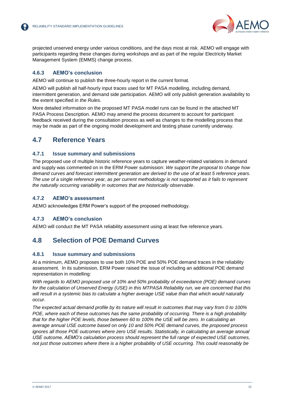

projected unserved energy under various conditions, and the days most at risk. AEMO will engage with participants regarding these changes during workshops and as part of the regular Electricity Market Management System (EMMS) change process.

#### **4.6.3 AEMO's conclusion**

AEMO will continue to publish the three-hourly report in the current format.

AEMO will publish all half-hourly input traces used for MT PASA modelling, including demand, intermittent generation, and demand side participation. AEMO will only publish generation availability to the extent specified in *the Rules.*

More detailed information on the proposed MT PASA model runs can be found in the attached MT PASA Process Description. AEMO may amend the process document to account for participant feedback received during the consultation process as well as changes to the modelling process that may be made as part of the ongoing model development and testing phase currently underway.

### <span id="page-14-0"></span>**4.7 Reference Years**

#### **4.7.1 Issue summary and submissions**

The proposed use of multiple historic reference years to capture weather-related variations in demand and supply was commented on in the ERM Power submission: *We support the proposal to change how demand curves and forecast intermittent generation are derived to the use of at least 5 reference years. The use of a single reference year, as per current methodology is not supported as it fails to represent the naturally occurring variability in outcomes that are historically observable*.

#### **4.7.2 AEMO's assessment**

AEMO acknowledges ERM Power's support of the proposed methodology.

#### **4.7.3 AEMO's conclusion**

AEMO will conduct the MT PASA reliability assessment using at least five reference years.

### <span id="page-14-1"></span>**4.8 Selection of POE Demand Curves**

#### **4.8.1 Issue summary and submissions**

At a minimum, AEMO proposes to use both 10% POE and 50% POE demand traces in the reliability assessment. In its submission, ERM Power raised the issue of including an additional POE demand representation in modelling:

*With regards to AEMO proposed use of 10% and 50% probability of exceedance (POE) demand curves for the calculation of Unserved Energy (USE) in this MTPASA Reliability run, we are concerned that this will result in a systemic bias to calculate a higher average USE value than that which would naturally occur.*

*The expected actual demand profile by its nature will result in outcomes that may vary from 0 to 100% POE, where each of these outcomes has the same probability of occurring. There is a high probability that for the higher POE levels, those between 60 to 100% the USE will be zero. In calculating an average annual USE outcome based on only 10 and 50% POE demand curves, the proposed process ignores all those POE outcomes where zero USE results. Statistically, in calculating an average annual USE outcome, AEMO's calculation process should represent the full range of expected USE outcomes, not just those outcomes where there is a higher probability of USE occurring. This could reasonably be*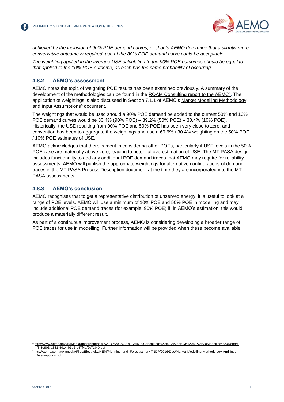

*achieved by the inclusion of 90% POE demand curves, or should AEMO determine that a slightly more conservative outcome is required, use of the 80% POE demand curve could be acceptable.*

*The weighting applied in the average USE calculation to the 90% POE outcomes should be equal to that applied to the 10% POE outcome, as each has the same probability of occurring.*

#### **4.8.2 AEMO's assessment**

AEMO notes the topic of weighting POE results has been examined previously. A summary of the development of the methodologies can be found in the [ROAM Consulting report to the AEMC](http://www.aemc.gov.au/Media/docs/Appendix%20D%20-%20ROAM%20Consulting%20%E2%80%93%20MPC%20Modelling%20Report-f3f8e903-a331-4d14-b1b5-b47f4af2c71b-0.pdf)<sup>4</sup>. The application of weightings is also discussed in Section 7.1.1 of AEMO's [Market Modelling Methodology](http://aemo.com.au/-/media/Files/Electricity/NEM/Planning_and_Forecasting/NTNDP/2016/Dec/Market-Modelling-Methodology-And-Input-Assumptions.pdf)  [and Input Assumptions](http://aemo.com.au/-/media/Files/Electricity/NEM/Planning_and_Forecasting/NTNDP/2016/Dec/Market-Modelling-Methodology-And-Input-Assumptions.pdf)<sup>5</sup> document.

The weightings that would be used should a 90% POE demand be added to the current 50% and 10% POE demand curves would be 30.4% (90% POE) – 39.2% (50% POE) – 30.4% (10% POE). Historically, the USE resulting from 90% POE and 50% POE has been very close to zero, and convention has been to aggregate the weightings and use a 69.6% / 30.4% weighting on the 50% POE / 10% POE estimates of USE.

AEMO acknowledges that there is merit in considering other POEs, particularly if USE levels in the 50% POE case are materially above zero, leading to potential overestimation of USE. The MT PASA design includes functionality to add any additional POE demand traces that AEMO may require for reliability assessments. AEMO will publish the appropriate weightings for alternative configurations of demand traces in the MT PASA Process Description document at the time they are incorporated into the MT PASA assessments.

#### **4.8.3 AEMO's conclusion**

AEMO recognises that to get a representative distribution of unserved energy, it is useful to look at a range of POE levels. AEMO will use a minimum of 10% POE and 50% POE in modelling and may include additional POE demand traces (for example, 90% POE) if, in AEMO's estimation, this would produce a materially different result.

As part of a continuous improvement process, AEMO is considering developing a broader range of POE traces for use in modelling. Further information will be provided when these become available.

<sup>4</sup> [http://www.aemc.gov.au/Media/docs/Appendix%20D%20-%20ROAM%20Consulting%20%E2%80%93%20MPC%20Modelling%20Report](http://www.aemc.gov.au/Media/docs/Appendix%20D%20-%20ROAM%20Consulting%20%E2%80%93%20MPC%20Modelling%20Report-f3f8e903-a331-4d14-b1b5-b47f4af2c71b-0.pdf)[f3f8e903-a331-4d14-b1b5-b47f4af2c71b-0.pdf](http://www.aemc.gov.au/Media/docs/Appendix%20D%20-%20ROAM%20Consulting%20%E2%80%93%20MPC%20Modelling%20Report-f3f8e903-a331-4d14-b1b5-b47f4af2c71b-0.pdf) <sup>5</sup> [http://aemo.com.au/-/media/Files/Electricity/NEM/Planning\\_and\\_Forecasting/NTNDP/2016/Dec/Market-Modelling-Methodology-And-Input-](http://aemo.com.au/-/media/Files/Electricity/NEM/Planning_and_Forecasting/NTNDP/2016/Dec/Market-Modelling-Methodology-And-Input-Assumptions.pdf)

[Assumptions.pdf](http://aemo.com.au/-/media/Files/Electricity/NEM/Planning_and_Forecasting/NTNDP/2016/Dec/Market-Modelling-Methodology-And-Input-Assumptions.pdf)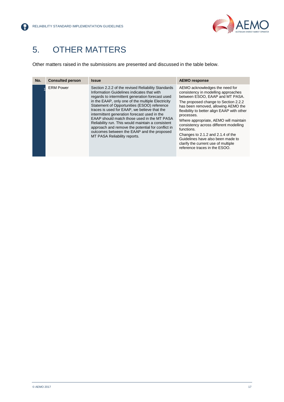

## <span id="page-16-0"></span>5. OTHER MATTERS

Other matters raised in the submissions are presented and discussed in the table below.

| No. | <b>Consulted person</b> | <b>Issue</b>                                                                                                                                                                                                                                                                                                                                                                                                                                                                                                                                                                                    | <b>AEMO response</b>                                                                                                                                                                                                                                                                                                                                                                                                                                                                                    |
|-----|-------------------------|-------------------------------------------------------------------------------------------------------------------------------------------------------------------------------------------------------------------------------------------------------------------------------------------------------------------------------------------------------------------------------------------------------------------------------------------------------------------------------------------------------------------------------------------------------------------------------------------------|---------------------------------------------------------------------------------------------------------------------------------------------------------------------------------------------------------------------------------------------------------------------------------------------------------------------------------------------------------------------------------------------------------------------------------------------------------------------------------------------------------|
|     | <b>ERM Power</b>        | Section 2.2.2 of the revised Reliability Standards<br>Information Guidelines indicates that with<br>regards to intermittent generation forecast used<br>in the EAAP, only one of the multiple Electricity<br>Statement of Opportunities (ESOO) reference<br>traces is used for EAAP, we believe that the<br>intermittent generation forecast used in the<br>EAAP should match those used in the MT PASA<br>Reliability run. This would maintain a consistent<br>approach and remove the potential for conflict in<br>outcomes between the EAAP and the proposed<br>MT PASA Reliability reports. | AEMO acknowledges the need for<br>consistency in modelling approaches<br>between ESOO. EAAP and MT PASA.<br>The proposed change to Section 2.2.2<br>has been removed, allowing AEMO the<br>flexibility to better align EAAP with other<br>processes.<br>Where appropriate, AEMO will maintain<br>consistency across different modelling<br>functions.<br>Changes to 2.1.2 and 2.1.4 of the<br>Guidelines have also been made to<br>clarify the current use of multiple<br>reference traces in the ESOO. |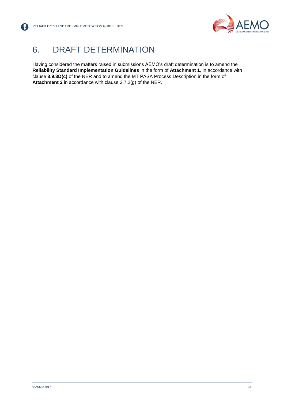

## <span id="page-17-0"></span>6. DRAFT DETERMINATION

Having considered the matters raised in submissions AEMO's draft determination is to amend the **Reliability Standard Implementation Guidelines** in the form of **Attachment 1**, in accordance with clause **3.9.3D(c)** of the NER and to amend the MT PASA Process Description in the form of **Attachment 2** in accordance with clause 3.7.2(g) of the NER.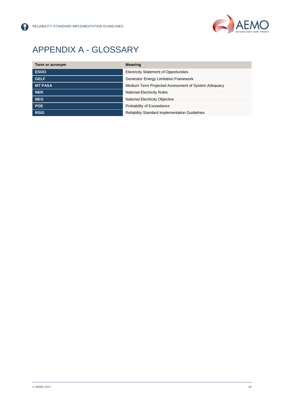

## <span id="page-18-0"></span>APPENDIX A - GLOSSARY

| Term or acronym | <b>Meaning</b>                                        |  |
|-----------------|-------------------------------------------------------|--|
| <b>ESOO</b>     | <b>Electricity Statement of Opportunities</b>         |  |
| <b>GELF</b>     | <b>Generator Energy Limitation Framework</b>          |  |
| <b>MT PASA</b>  | Medium Term Projected Assessment of System Adequacy   |  |
| <b>NER</b>      | <b>National Electricity Rules</b>                     |  |
| <b>NEO</b>      | <b>National Electricity Objective</b>                 |  |
| <b>POE</b>      | Probability of Exceedance                             |  |
| <b>RSIG</b>     | <b>Reliability Standard Implementation Guidelines</b> |  |